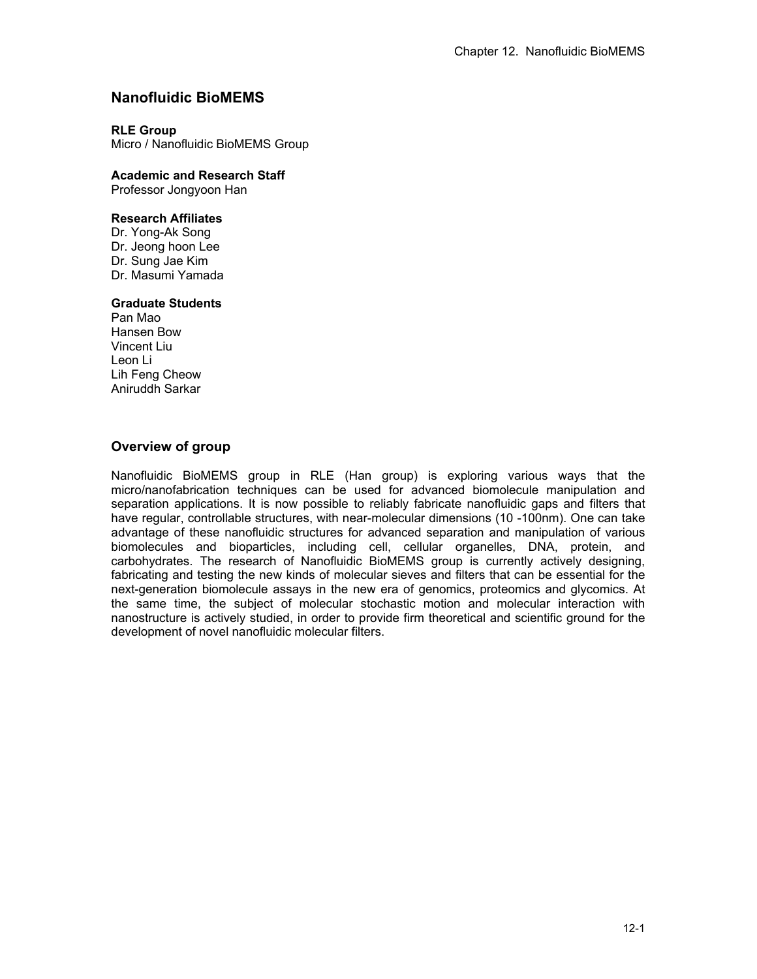# **Nanofluidic BioMEMS**

### **RLE Group**

Micro / Nanofluidic BioMEMS Group

## **Academic and Research Staff**

Professor Jongyoon Han

### **Research Affiliates**

Dr. Yong-Ak Song Dr. Jeong hoon Lee Dr. Sung Jae Kim Dr. Masumi Yamada

### **Graduate Students**

Pan Mao Hansen Bow Vincent Liu Leon Li Lih Feng Cheow Aniruddh Sarkar

# **Overview of group**

Nanofluidic BioMEMS group in RLE (Han group) is exploring various ways that the micro/nanofabrication techniques can be used for advanced biomolecule manipulation and separation applications. It is now possible to reliably fabricate nanofluidic gaps and filters that have regular, controllable structures, with near-molecular dimensions (10 -100nm). One can take advantage of these nanofluidic structures for advanced separation and manipulation of various biomolecules and bioparticles, including cell, cellular organelles, DNA, protein, and carbohydrates. The research of Nanofluidic BioMEMS group is currently actively designing, fabricating and testing the new kinds of molecular sieves and filters that can be essential for the next-generation biomolecule assays in the new era of genomics, proteomics and glycomics. At the same time, the subject of molecular stochastic motion and molecular interaction with nanostructure is actively studied, in order to provide firm theoretical and scientific ground for the development of novel nanofluidic molecular filters.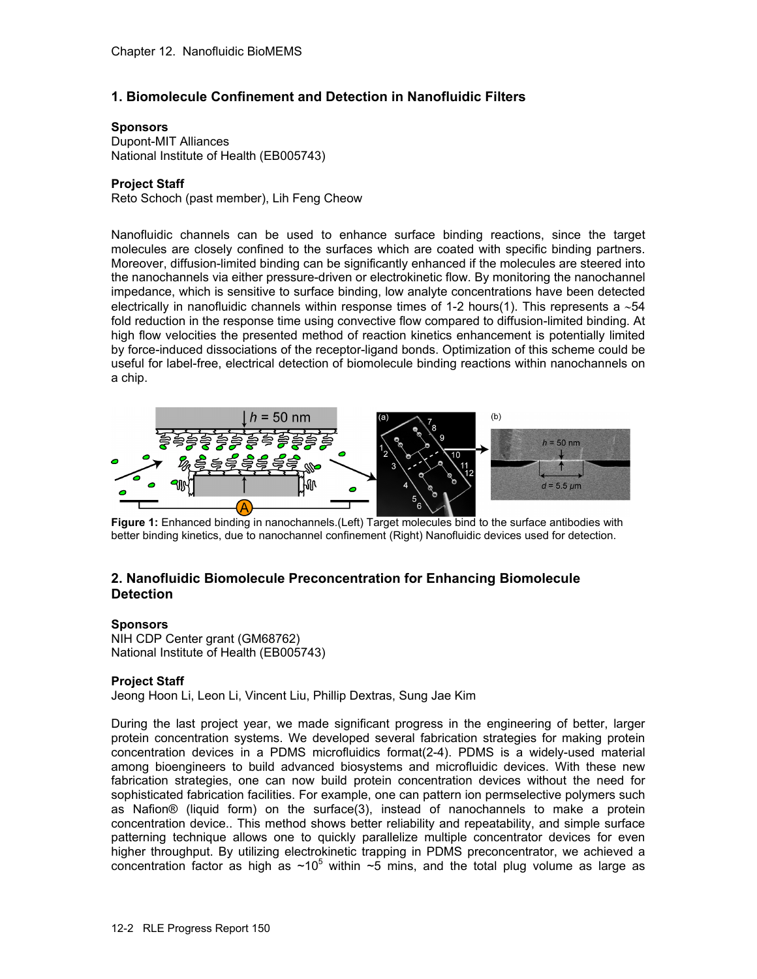## **1. Biomolecule Confinement and Detection in Nanofluidic Filters**

#### **Sponsors**

Dupont-MIT Alliances National Institute of Health (EB005743)

#### **Project Staff**

Reto Schoch (past member), Lih Feng Cheow

Nanofluidic channels can be used to enhance surface binding reactions, since the target molecules are closely confined to the surfaces which are coated with specific binding partners. Moreover, diffusion-limited binding can be significantly enhanced if the molecules are steered into the nanochannels via either pressure-driven or electrokinetic flow. By monitoring the nanochannel impedance, which is sensitive to surface binding, low analyte concentrations have been detected electrically in nanofluidic channels within response times of 1-2 hours(1). This represents a ∼54 fold reduction in the response time using convective flow compared to diffusion-limited binding. At high flow velocities the presented method of reaction kinetics enhancement is potentially limited by force-induced dissociations of the receptor-ligand bonds. Optimization of this scheme could be useful for label-free, electrical detection of biomolecule binding reactions within nanochannels on a chip.



**Figure 1:** Enhanced binding in nanochannels.(Left) Target molecules bind to the surface antibodies with better binding kinetics, due to nanochannel confinement (Right) Nanofluidic devices used for detection.

# **2. Nanofluidic Biomolecule Preconcentration for Enhancing Biomolecule Detection**

#### **Sponsors**

NIH CDP Center grant (GM68762) National Institute of Health (EB005743)

#### **Project Staff**

Jeong Hoon Li, Leon Li, Vincent Liu, Phillip Dextras, Sung Jae Kim

During the last project year, we made significant progress in the engineering of better, larger protein concentration systems. We developed several fabrication strategies for making protein concentration devices in a PDMS microfluidics format(2-4). PDMS is a widely-used material among bioengineers to build advanced biosystems and microfluidic devices. With these new fabrication strategies, one can now build protein concentration devices without the need for sophisticated fabrication facilities. For example, one can pattern ion permselective polymers such as Nafion® (liquid form) on the surface(3), instead of nanochannels to make a protein concentration device.. This method shows better reliability and repeatability, and simple surface patterning technique allows one to quickly parallelize multiple concentrator devices for even higher throughput. By utilizing electrokinetic trapping in PDMS preconcentrator, we achieved a concentration factor as high as  $~10^5$  within  $~5$  mins, and the total plug volume as large as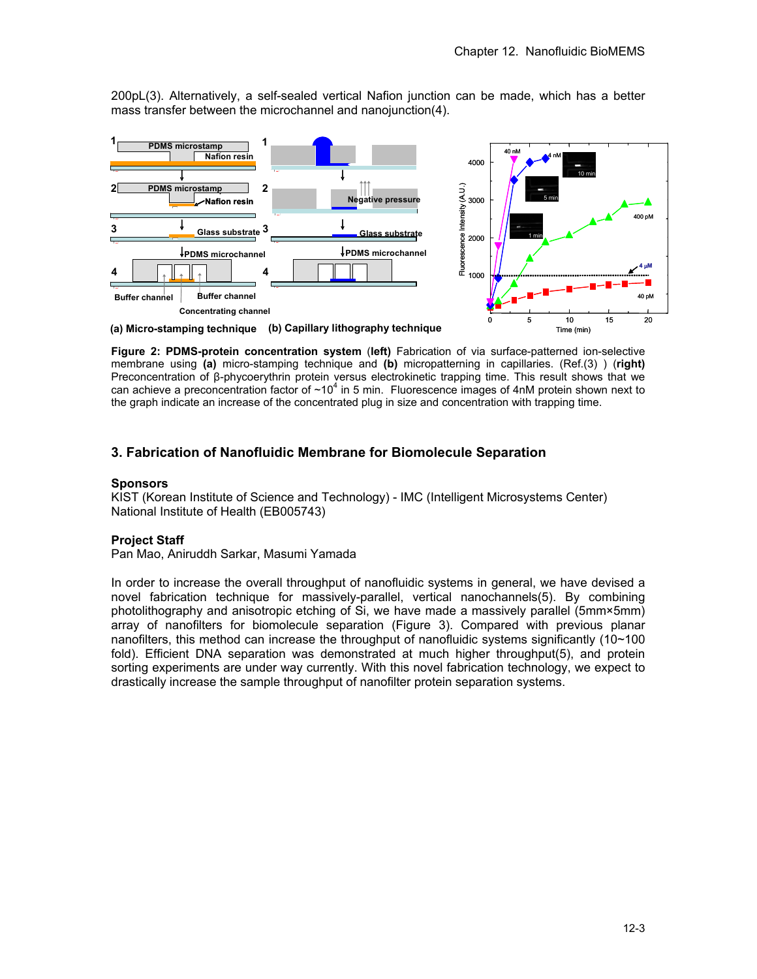200pL(3). Alternatively, a self-sealed vertical Nafion junction can be made, which has a better mass transfer between the microchannel and nanojunction(4).



**Figure 2: PDMS-protein concentration system** (**left)** Fabrication of via surface-patterned ion-selective membrane using **(a)** micro-stamping technique and **(b)** micropatterning in capillaries. (Ref.(3) ) (**right)** Preconcentration of β-phycoerythrin protein versus electrokinetic trapping time. This result shows that we can achieve a preconcentration factor of  $~10^4$  in 5 min. Fluorescence images of 4nM protein shown next to the graph indicate an increase of the concentrated plug in size and concentration with trapping time.

# **3. Fabrication of Nanofluidic Membrane for Biomolecule Separation**

### **Sponsors**

KIST (Korean Institute of Science and Technology) - IMC (Intelligent Microsystems Center) National Institute of Health (EB005743)

#### **Project Staff**

Pan Mao, Aniruddh Sarkar, Masumi Yamada

In order to increase the overall throughput of nanofluidic systems in general, we have devised a novel fabrication technique for massively-parallel, vertical nanochannels(5). By combining photolithography and anisotropic etching of Si, we have made a massively parallel (5mm×5mm) array of nanofilters for biomolecule separation (Figure 3). Compared with previous planar nanofilters, this method can increase the throughput of nanofluidic systems significantly (10~100 fold). Efficient DNA separation was demonstrated at much higher throughput(5), and protein sorting experiments are under way currently. With this novel fabrication technology, we expect to drastically increase the sample throughput of nanofilter protein separation systems.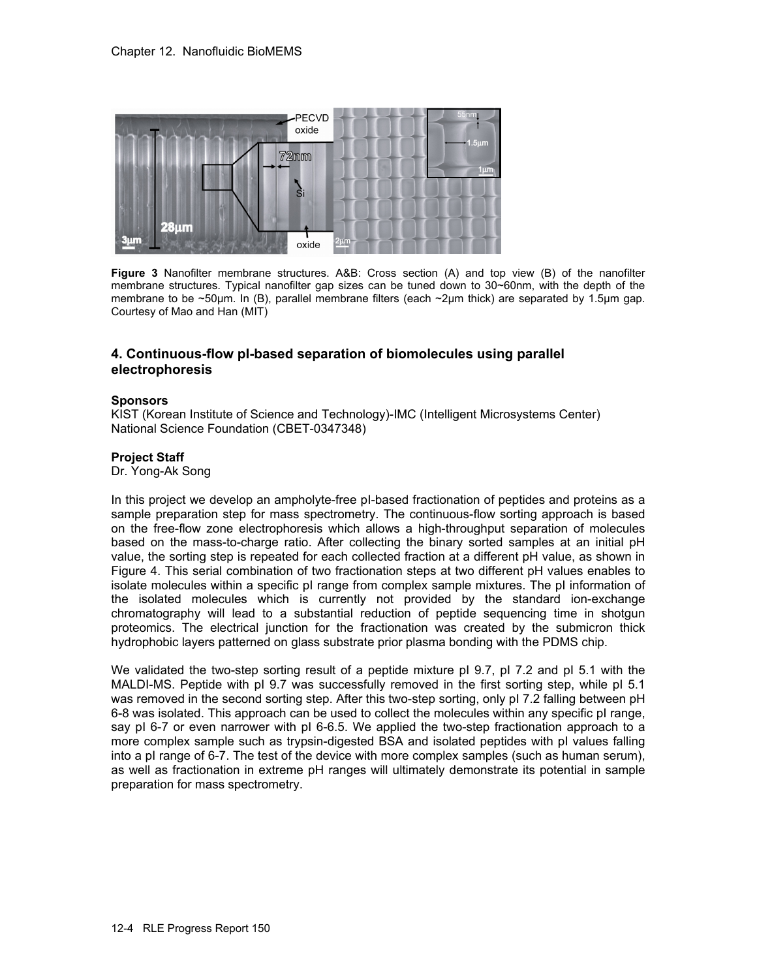

**Figure 3** Nanofilter membrane structures. A&B: Cross section (A) and top view (B) of the nanofilter membrane structures. Typical nanofilter gap sizes can be tuned down to 30~60nm, with the depth of the membrane to be ~50μm. In (B), parallel membrane filters (each ~2μm thick) are separated by 1.5μm gap. Courtesy of Mao and Han (MIT)

### **4. Continuous-flow pI-based separation of biomolecules using parallel electrophoresis**

#### **Sponsors**

KIST (Korean Institute of Science and Technology)-IMC (Intelligent Microsystems Center) National Science Foundation (CBET-0347348)

#### **Project Staff**

Dr. Yong-Ak Song

In this project we develop an ampholyte-free pI-based fractionation of peptides and proteins as a sample preparation step for mass spectrometry. The continuous-flow sorting approach is based on the free-flow zone electrophoresis which allows a high-throughput separation of molecules based on the mass-to-charge ratio. After collecting the binary sorted samples at an initial pH value, the sorting step is repeated for each collected fraction at a different pH value, as shown in Figure 4. This serial combination of two fractionation steps at two different pH values enables to isolate molecules within a specific pI range from complex sample mixtures. The pI information of the isolated molecules which is currently not provided by the standard ion-exchange chromatography will lead to a substantial reduction of peptide sequencing time in shotgun proteomics. The electrical junction for the fractionation was created by the submicron thick hydrophobic layers patterned on glass substrate prior plasma bonding with the PDMS chip.

We validated the two-step sorting result of a peptide mixture pI 9.7, pI 7.2 and pI 5.1 with the MALDI-MS. Peptide with pI 9.7 was successfully removed in the first sorting step, while pI 5.1 was removed in the second sorting step. After this two-step sorting, only pI 7.2 falling between pH 6-8 was isolated. This approach can be used to collect the molecules within any specific pI range, say pI 6-7 or even narrower with pI 6-6.5. We applied the two-step fractionation approach to a more complex sample such as trypsin-digested BSA and isolated peptides with pI values falling into a pI range of 6-7. The test of the device with more complex samples (such as human serum), as well as fractionation in extreme pH ranges will ultimately demonstrate its potential in sample preparation for mass spectrometry.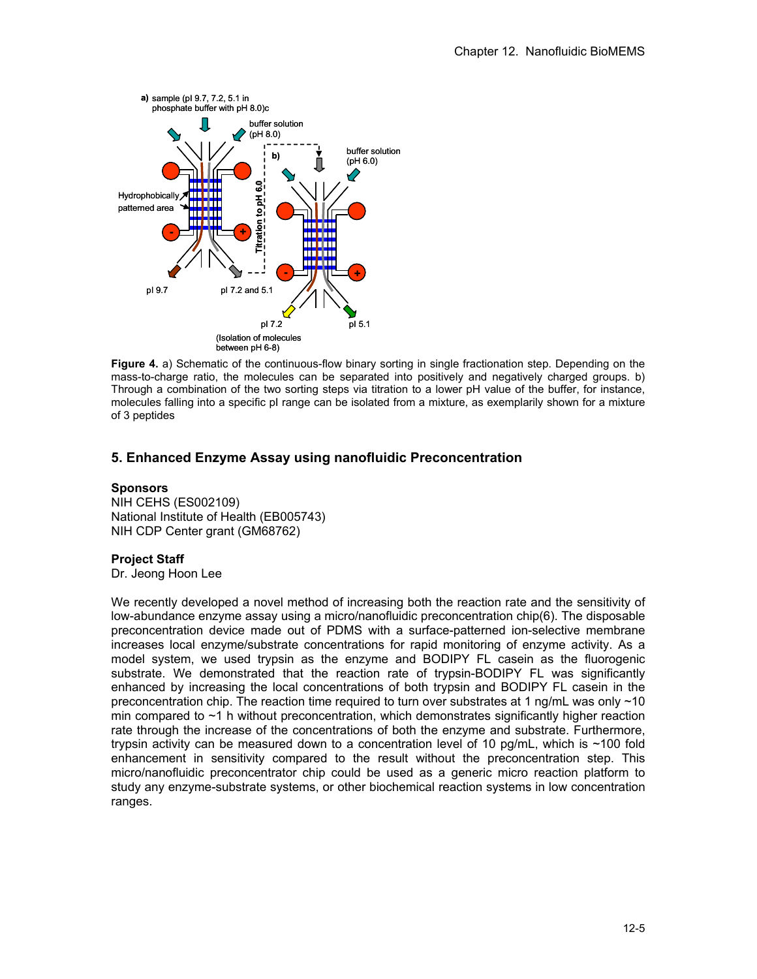

**Figure 4.** a) Schematic of the continuous-flow binary sorting in single fractionation step. Depending on the mass-to-charge ratio, the molecules can be separated into positively and negatively charged groups. b) Through a combination of the two sorting steps via titration to a lower pH value of the buffer, for instance, molecules falling into a specific pI range can be isolated from a mixture, as exemplarily shown for a mixture of 3 peptides

# **5. Enhanced Enzyme Assay using nanofluidic Preconcentration**

#### **Sponsors**

NIH CEHS (ES002109) National Institute of Health (EB005743) NIH CDP Center grant (GM68762)

#### **Project Staff**

Dr. Jeong Hoon Lee

We recently developed a novel method of increasing both the reaction rate and the sensitivity of low-abundance enzyme assay using a micro/nanofluidic preconcentration chip(6). The disposable preconcentration device made out of PDMS with a surface-patterned ion-selective membrane increases local enzyme/substrate concentrations for rapid monitoring of enzyme activity. As a model system, we used trypsin as the enzyme and BODIPY FL casein as the fluorogenic substrate. We demonstrated that the reaction rate of trypsin-BODIPY FL was significantly enhanced by increasing the local concentrations of both trypsin and BODIPY FL casein in the preconcentration chip. The reaction time required to turn over substrates at 1 ng/mL was only ~10 min compared to ~1 h without preconcentration, which demonstrates significantly higher reaction rate through the increase of the concentrations of both the enzyme and substrate. Furthermore, trypsin activity can be measured down to a concentration level of 10 pg/mL, which is ~100 fold enhancement in sensitivity compared to the result without the preconcentration step. This micro/nanofluidic preconcentrator chip could be used as a generic micro reaction platform to study any enzyme-substrate systems, or other biochemical reaction systems in low concentration ranges.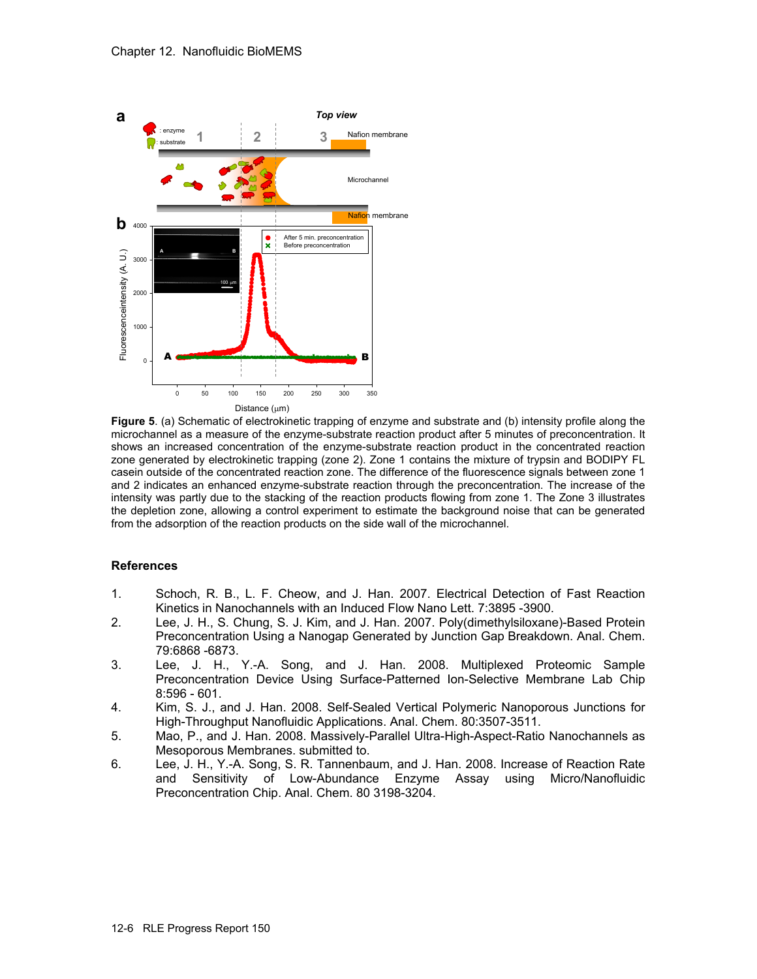

**Figure 5**. (a) Schematic of electrokinetic trapping of enzyme and substrate and (b) intensity profile along the microchannel as a measure of the enzyme-substrate reaction product after 5 minutes of preconcentration. It shows an increased concentration of the enzyme-substrate reaction product in the concentrated reaction zone generated by electrokinetic trapping (zone 2). Zone 1 contains the mixture of trypsin and BODIPY FL casein outside of the concentrated reaction zone. The difference of the fluorescence signals between zone 1 and 2 indicates an enhanced enzyme-substrate reaction through the preconcentration. The increase of the intensity was partly due to the stacking of the reaction products flowing from zone 1. The Zone 3 illustrates the depletion zone, allowing a control experiment to estimate the background noise that can be generated from the adsorption of the reaction products on the side wall of the microchannel.

#### **References**

- 1. Schoch, R. B., L. F. Cheow, and J. Han. 2007. Electrical Detection of Fast Reaction Kinetics in Nanochannels with an Induced Flow Nano Lett. 7:3895 -3900.
- 2. Lee, J. H., S. Chung, S. J. Kim, and J. Han. 2007. Poly(dimethylsiloxane)-Based Protein Preconcentration Using a Nanogap Generated by Junction Gap Breakdown. Anal. Chem. 79:6868 -6873.
- 3. Lee, J. H., Y.-A. Song, and J. Han. 2008. Multiplexed Proteomic Sample Preconcentration Device Using Surface-Patterned Ion-Selective Membrane Lab Chip 8:596 - 601.
- 4. Kim, S. J., and J. Han. 2008. Self-Sealed Vertical Polymeric Nanoporous Junctions for High-Throughput Nanofluidic Applications. Anal. Chem. 80:3507-3511.
- 5. Mao, P., and J. Han. 2008. Massively-Parallel Ultra-High-Aspect-Ratio Nanochannels as Mesoporous Membranes. submitted to.
- 6. Lee, J. H., Y.-A. Song, S. R. Tannenbaum, and J. Han. 2008. Increase of Reaction Rate and Sensitivity of Low-Abundance Enzyme Assay using Micro/Nanofluidic Preconcentration Chip. Anal. Chem. 80 3198-3204.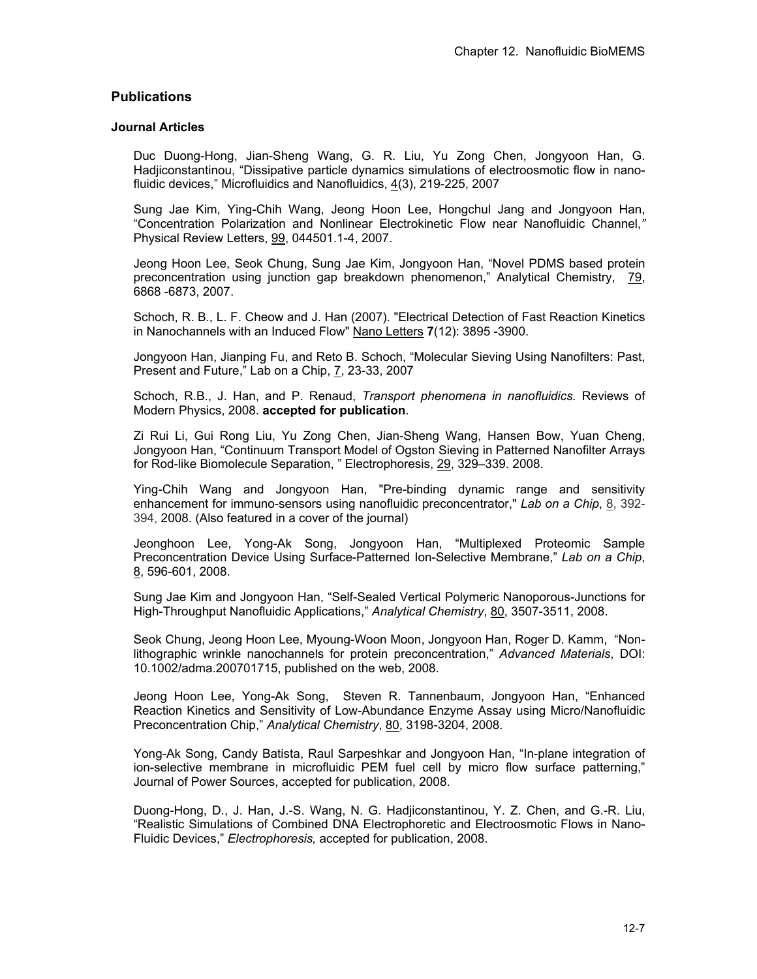# **Publications**

### **Journal Articles**

Duc Duong-Hong, Jian-Sheng Wang, G. R. Liu, Yu Zong Chen, Jongyoon Han, G. Hadjiconstantinou, "Dissipative particle dynamics simulations of electroosmotic flow in nanofluidic devices," Microfluidics and Nanofluidics, 4(3), 219-225, 2007

Sung Jae Kim, Ying-Chih Wang, Jeong Hoon Lee, Hongchul Jang and Jongyoon Han, "Concentration Polarization and Nonlinear Electrokinetic Flow near Nanofluidic Channel,*"*  Physical Review Letters, 99, 044501.1-4, 2007.

Jeong Hoon Lee, Seok Chung, Sung Jae Kim, Jongyoon Han, "Novel PDMS based protein preconcentration using junction gap breakdown phenomenon," Analytical Chemistry, 79, 6868 -6873, 2007.

Schoch, R. B., L. F. Cheow and J. Han (2007). "Electrical Detection of Fast Reaction Kinetics in Nanochannels with an Induced Flow" Nano Letters **7**(12): 3895 -3900.

Jongyoon Han, Jianping Fu, and Reto B. Schoch, "Molecular Sieving Using Nanofilters: Past, Present and Future," Lab on a Chip, 7, 23-33, 2007

Schoch, R.B., J. Han, and P. Renaud, *Transport phenomena in nanofluidics.* Reviews of Modern Physics, 2008. **accepted for publication**.

Zi Rui Li, Gui Rong Liu, Yu Zong Chen, Jian-Sheng Wang, Hansen Bow, Yuan Cheng, Jongyoon Han, "Continuum Transport Model of Ogston Sieving in Patterned Nanofilter Arrays for Rod-like Biomolecule Separation, " Electrophoresis, 29, 329–339. 2008.

Ying-Chih Wang and Jongyoon Han, "Pre-binding dynamic range and sensitivity enhancement for immuno-sensors using nanofluidic preconcentrator," *Lab on a Chip*, 8, 392- 394, 2008. (Also featured in a cover of the journal)

Jeonghoon Lee, Yong-Ak Song, Jongyoon Han, "Multiplexed Proteomic Sample Preconcentration Device Using Surface-Patterned Ion-Selective Membrane," *Lab on a Chip*, 8, 596-601, 2008.

Sung Jae Kim and Jongyoon Han, "Self-Sealed Vertical Polymeric Nanoporous-Junctions for High-Throughput Nanofluidic Applications," *Analytical Chemistry*, 80, 3507-3511, 2008.

Seok Chung, Jeong Hoon Lee, Myoung-Woon Moon, Jongyoon Han, Roger D. Kamm, "Nonlithographic wrinkle nanochannels for protein preconcentration," *Advanced Materials*, DOI: 10.1002/adma.200701715, published on the web, 2008.

Jeong Hoon Lee, Yong-Ak Song, Steven R. Tannenbaum, Jongyoon Han, "Enhanced Reaction Kinetics and Sensitivity of Low-Abundance Enzyme Assay using Micro/Nanofluidic Preconcentration Chip," *Analytical Chemistry*, 80, 3198-3204, 2008.

Yong-Ak Song, Candy Batista, Raul Sarpeshkar and Jongyoon Han, "In-plane integration of ion-selective membrane in microfluidic PEM fuel cell by micro flow surface patterning," Journal of Power Sources, accepted for publication, 2008.

Duong-Hong, D., J. Han, J.-S. Wang, N. G. Hadjiconstantinou, Y. Z. Chen, and G.-R. Liu, "Realistic Simulations of Combined DNA Electrophoretic and Electroosmotic Flows in Nano-Fluidic Devices," *Electrophoresis,* accepted for publication, 2008.